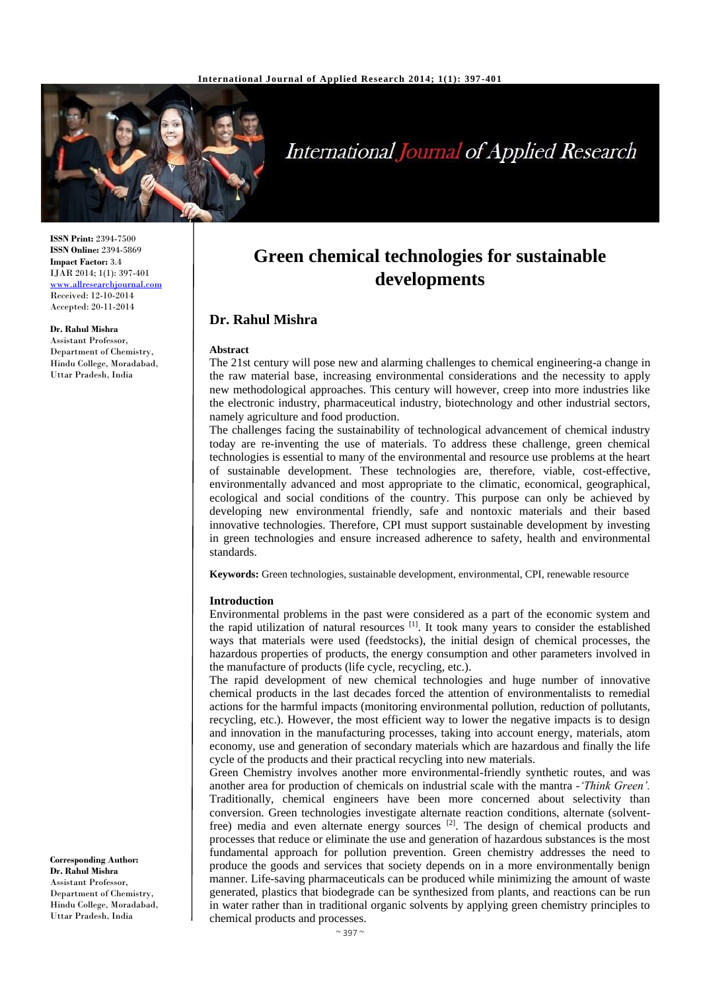

# **International Journal of Applied Research**

**ISSN Print:** 2394-7500 **ISSN Online:** 2394-5869 **Impact Factor:** 3.4 IJAR 2014; 1(1): 397-401 [www.allresearchjournal.com](http://www.allresearchjournal.com/) Received: 12-10-2014 Accepted: 20-11-2014

**Dr. Rahul Mishra** Assistant Professor, Department of Chemistry, Hindu College, Moradabad, Uttar Pradesh, India

**Green chemical technologies for sustainable developments**

# **Dr. Rahul Mishra**

#### **Abstract**

The 21st century will pose new and alarming challenges to chemical engineering-a change in the raw material base, increasing environmental considerations and the necessity to apply new methodological approaches. This century will however, creep into more industries like the electronic industry, pharmaceutical industry, biotechnology and other industrial sectors, namely agriculture and food production.

The challenges facing the sustainability of technological advancement of chemical industry today are re-inventing the use of materials. To address these challenge, green chemical technologies is essential to many of the environmental and resource use problems at the heart of sustainable development. These technologies are, therefore, viable, cost-effective, environmentally advanced and most appropriate to the climatic, economical, geographical, ecological and social conditions of the country. This purpose can only be achieved by developing new environmental friendly, safe and nontoxic materials and their based innovative technologies. Therefore, CPI must support sustainable development by investing in green technologies and ensure increased adherence to safety, health and environmental standards.

**Keywords:** Green technologies, sustainable development, environmental, CPI, renewable resource

#### **Introduction**

Environmental problems in the past were considered as a part of the economic system and the rapid utilization of natural resources  $[1]$ . It took many years to consider the established ways that materials were used (feedstocks), the initial design of chemical processes, the hazardous properties of products, the energy consumption and other parameters involved in the manufacture of products (life cycle, recycling, etc.).

The rapid development of new chemical technologies and huge number of innovative chemical products in the last decades forced the attention of environmentalists to remedial actions for the harmful impacts (monitoring environmental pollution, reduction of pollutants, recycling, etc.). However, the most efficient way to lower the negative impacts is to design and innovation in the manufacturing processes, taking into account energy, materials, atom economy, use and generation of secondary materials which are hazardous and finally the life cycle of the products and their practical recycling into new materials.

Green Chemistry involves another more environmental-friendly synthetic routes, and was another area for production of chemicals on industrial scale with the mantra -*'Think Green'.*  Traditionally, chemical engineers have been more concerned about selectivity than conversion. Green technologies investigate alternate reaction conditions, alternate (solventfree) media and even alternate energy sources [2]. The design of chemical products and processes that reduce or eliminate the use and generation of hazardous substances is the most fundamental approach for pollution prevention. Green chemistry addresses the need to produce the goods and services that society depends on in a more environmentally benign manner. Life-saving pharmaceuticals can be produced while minimizing the amount of waste generated, plastics that biodegrade can be synthesized from plants, and reactions can be run in water rather than in traditional organic solvents by applying green chemistry principles to chemical products and processes.

**Corresponding Author: Dr. Rahul Mishra** Assistant Professor, Department of Chemistry, Hindu College, Moradabad, Uttar Pradesh, India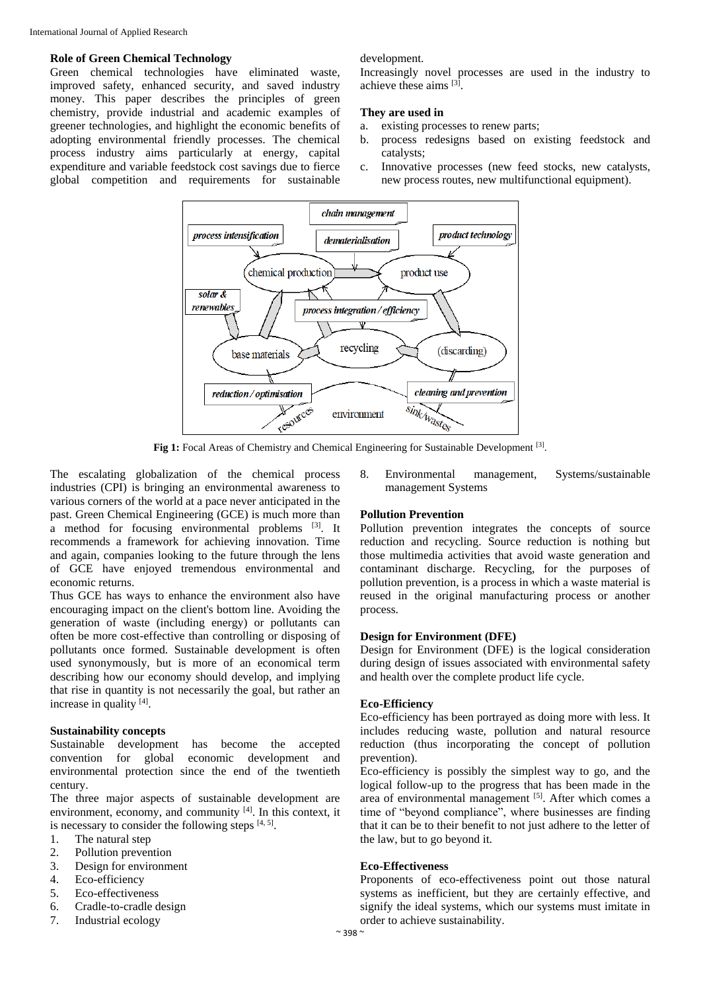### **Role of Green Chemical Technology**

Green chemical technologies have eliminated waste, improved safety, enhanced security, and saved industry money. This paper describes the principles of green chemistry, provide industrial and academic examples of greener technologies, and highlight the economic benefits of adopting environmental friendly processes. The chemical process industry aims particularly at energy, capital expenditure and variable feedstock cost savings due to fierce global competition and requirements for sustainable

development.

Increasingly novel processes are used in the industry to achieve these aims [3].

# **They are used in**

- a. existing processes to renew parts;
- b. process redesigns based on existing feedstock and catalysts;
- c. Innovative processes (new feed stocks, new catalysts, new process routes, new multifunctional equipment).



Fig 1: Focal Areas of Chemistry and Chemical Engineering for Sustainable Development<sup>[3]</sup>.

The escalating globalization of the chemical process industries (CPI) is bringing an environmental awareness to various corners of the world at a pace never anticipated in the past. Green Chemical Engineering (GCE) is much more than a method for focusing environmental problems [3]. It recommends a framework for achieving innovation. Time and again, companies looking to the future through the lens of GCE have enjoyed tremendous environmental and economic returns.

Thus GCE has ways to enhance the environment also have encouraging impact on the client's bottom line. Avoiding the generation of waste (including energy) or pollutants can often be more cost-effective than controlling or disposing of pollutants once formed. Sustainable development is often used synonymously, but is more of an economical term describing how our economy should develop, and implying that rise in quantity is not necessarily the goal, but rather an increase in quality [4].

## **Sustainability concepts**

Sustainable development has become the accepted convention for global economic development and environmental protection since the end of the twentieth century.

The three major aspects of sustainable development are environment, economy, and community [4]. In this context, it is necessary to consider the following steps  $[4, 5]$ .

- 1. The natural step
- 2. Pollution prevention
- 3. Design for environment
- 4. Eco-efficiency
- 5. Eco-effectiveness
- 6. Cradle-to-cradle design
- 7. Industrial ecology

8. Environmental management, Systems/sustainable management Systems

## **Pollution Prevention**

Pollution prevention integrates the concepts of source reduction and recycling. Source reduction is nothing but those multimedia activities that avoid waste generation and contaminant discharge. Recycling, for the purposes of pollution prevention, is a process in which a waste material is reused in the original manufacturing process or another process.

### **Design for Environment (DFE)**

Design for Environment (DFE) is the logical consideration during design of issues associated with environmental safety and health over the complete product life cycle.

## **Eco-Efficiency**

Eco-efficiency has been portrayed as doing more with less. It includes reducing waste, pollution and natural resource reduction (thus incorporating the concept of pollution prevention).

Eco-efficiency is possibly the simplest way to go, and the logical follow-up to the progress that has been made in the area of environmental management [5]. After which comes a time of "beyond compliance", where businesses are finding that it can be to their benefit to not just adhere to the letter of the law, but to go beyond it.

### **Eco-Effectiveness**

Proponents of eco-effectiveness point out those natural systems as inefficient, but they are certainly effective, and signify the ideal systems, which our systems must imitate in order to achieve sustainability.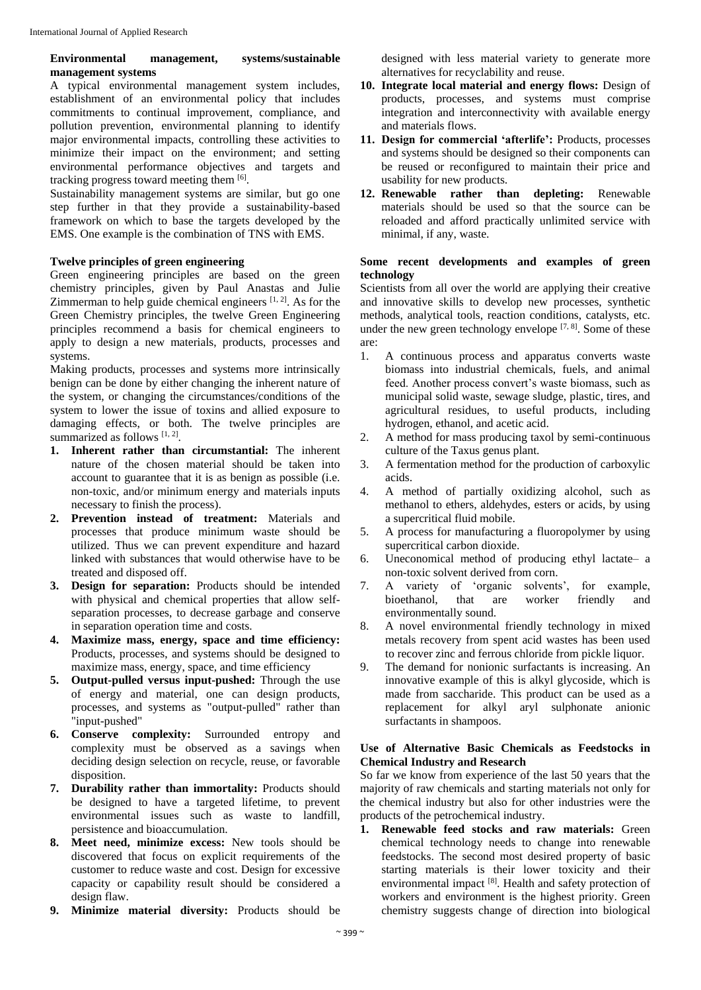# **Environmental management, systems/sustainable management systems**

A typical environmental management system includes, establishment of an environmental policy that includes commitments to continual improvement, compliance, and pollution prevention, environmental planning to identify major environmental impacts, controlling these activities to minimize their impact on the environment; and setting environmental performance objectives and targets and tracking progress toward meeting them [6].

Sustainability management systems are similar, but go one step further in that they provide a sustainability-based framework on which to base the targets developed by the EMS. One example is the combination of TNS with EMS.

# **Twelve principles of green engineering**

Green engineering principles are based on the green chemistry principles, given by Paul Anastas and Julie Zimmerman to help guide chemical engineers  $[1, 2]$ . As for the Green Chemistry principles, the twelve Green Engineering principles recommend a basis for chemical engineers to apply to design a new materials, products, processes and systems.

Making products, processes and systems more intrinsically benign can be done by either changing the inherent nature of the system, or changing the circumstances/conditions of the system to lower the issue of toxins and allied exposure to damaging effects, or both. The twelve principles are summarized as follows [1, 2].

- **1. Inherent rather than circumstantial:** The inherent nature of the chosen material should be taken into account to guarantee that it is as benign as possible (i.e. non-toxic, and/or minimum energy and materials inputs necessary to finish the process).
- **2. Prevention instead of treatment:** Materials and processes that produce minimum waste should be utilized. Thus we can prevent expenditure and hazard linked with substances that would otherwise have to be treated and disposed off.
- **3. Design for separation:** Products should be intended with physical and chemical properties that allow selfseparation processes, to decrease garbage and conserve in separation operation time and costs.
- **4. Maximize mass, energy, space and time efficiency:** Products, processes, and systems should be designed to maximize mass, energy, space, and time efficiency
- **5. Output-pulled versus input-pushed:** Through the use of energy and material, one can design products, processes, and systems as "output-pulled" rather than "input-pushed"
- **6. Conserve complexity:** Surrounded entropy and complexity must be observed as a savings when deciding design selection on recycle, reuse, or favorable disposition.
- **7. Durability rather than immortality:** Products should be designed to have a targeted lifetime, to prevent environmental issues such as waste to landfill, persistence and bioaccumulation.
- **8. Meet need, minimize excess:** New tools should be discovered that focus on explicit requirements of the customer to reduce waste and cost. Design for excessive capacity or capability result should be considered a design flaw.
- **9. Minimize material diversity:** Products should be

designed with less material variety to generate more alternatives for recyclability and reuse.

- **10. Integrate local material and energy flows:** Design of products, processes, and systems must comprise integration and interconnectivity with available energy and materials flows.
- **11. Design for commercial 'afterlife':** Products, processes and systems should be designed so their components can be reused or reconfigured to maintain their price and usability for new products.
- **12. Renewable rather than depleting:** Renewable materials should be used so that the source can be reloaded and afford practically unlimited service with minimal, if any, waste.

## **Some recent developments and examples of green technology**

Scientists from all over the world are applying their creative and innovative skills to develop new processes, synthetic methods, analytical tools, reaction conditions, catalysts, etc. under the new green technology envelope  $[7, 8]$ . Some of these are:

- 1. A continuous process and apparatus converts waste biomass into industrial chemicals, fuels, and animal feed. Another process convert's waste biomass, such as municipal solid waste, sewage sludge, plastic, tires, and agricultural residues, to useful products, including hydrogen, ethanol, and acetic acid.
- 2. A method for mass producing taxol by semi-continuous culture of the Taxus genus plant.
- 3. A fermentation method for the production of carboxylic acids.
- 4. A method of partially oxidizing alcohol, such as methanol to ethers, aldehydes, esters or acids, by using a supercritical fluid mobile.
- 5. A process for manufacturing a fluoropolymer by using supercritical carbon dioxide.
- 6. Uneconomical method of producing ethyl lactate– a non-toxic solvent derived from corn.
- 7. A variety of 'organic solvents', for example, bioethanol, that are worker friendly and bioethanol, that are worker friendly and environmentally sound.
- 8. A novel environmental friendly technology in mixed metals recovery from spent acid wastes has been used to recover zinc and ferrous chloride from pickle liquor.
- 9. The demand for nonionic surfactants is increasing. An innovative example of this is alkyl glycoside, which is made from saccharide. This product can be used as a replacement for alkyl aryl sulphonate anionic surfactants in shampoos.

# **Use of Alternative Basic Chemicals as Feedstocks in Chemical Industry and Research**

So far we know from experience of the last 50 years that the majority of raw chemicals and starting materials not only for the chemical industry but also for other industries were the products of the petrochemical industry.

**1. Renewable feed stocks and raw materials:** Green chemical technology needs to change into renewable feedstocks. The second most desired property of basic starting materials is their lower toxicity and their environmental impact [8]. Health and safety protection of workers and environment is the highest priority. Green chemistry suggests change of direction into biological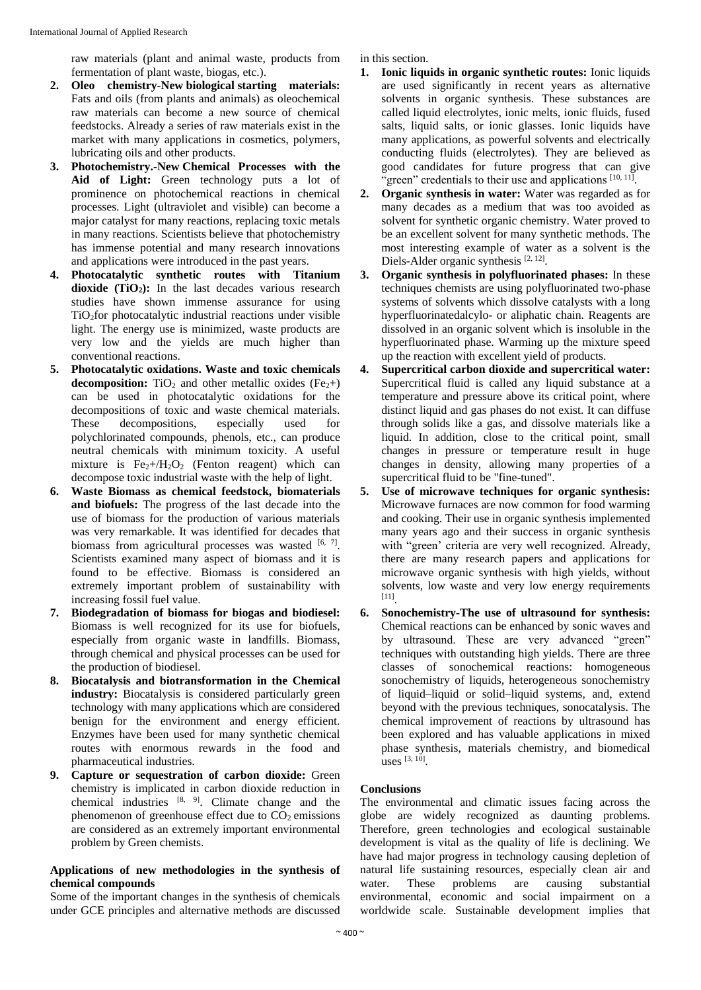raw materials (plant and animal waste, products from fermentation of plant waste, biogas, etc.).

- **2. Oleo chemistry-New biological starting materials:** Fats and oils (from plants and animals) as oleochemical raw materials can become a new source of chemical feedstocks. Already a series of raw materials exist in the market with many applications in cosmetics, polymers, lubricating oils and other products.
- **3. Photochemistry.-New Chemical Processes with the Aid of Light:** Green technology puts a lot of prominence on photochemical reactions in chemical processes. Light (ultraviolet and visible) can become a major catalyst for many reactions, replacing toxic metals in many reactions. Scientists believe that photochemistry has immense potential and many research innovations and applications were introduced in the past years.
- **4. Photocatalytic synthetic routes with Titanium dioxide (TiO2):** In the last decades various research studies have shown immense assurance for using TiO2for photocatalytic industrial reactions under visible light. The energy use is minimized, waste products are very low and the yields are much higher than conventional reactions.
- **5. Photocatalytic oxidations. Waste and toxic chemicals decomposition:** TiO<sub>2</sub> and other metallic oxides  $(Fe_2 + )$ can be used in photocatalytic oxidations for the decompositions of toxic and waste chemical materials. These decompositions, especially used for polychlorinated compounds, phenols, etc., can produce neutral chemicals with minimum toxicity. A useful mixture is  $Fe<sub>2</sub>+/H<sub>2</sub>O<sub>2</sub>$  (Fenton reagent) which can decompose toxic industrial waste with the help of light.
- **6. Waste Biomass as chemical feedstock, biomaterials and biofuels:** The progress of the last decade into the use of biomass for the production of various materials was very remarkable. It was identified for decades that biomass from agricultural processes was wasted  $[6, 7]$ . Scientists examined many aspect of biomass and it is found to be effective. Biomass is considered an extremely important problem of sustainability with increasing fossil fuel value.
- **7. Biodegradation of biomass for biogas and biodiesel:** Biomass is well recognized for its use for biofuels, especially from organic waste in landfills. Biomass, through chemical and physical processes can be used for the production of biodiesel.
- **8. Biocatalysis and biotransformation in the Chemical industry:** Biocatalysis is considered particularly green technology with many applications which are considered benign for the environment and energy efficient. Enzymes have been used for many synthetic chemical routes with enormous rewards in the food and pharmaceutical industries.
- **9. Capture or sequestration of carbon dioxide:** Green chemistry is implicated in carbon dioxide reduction in chemical industries  $[8, 9]$ . Climate change and the phenomenon of greenhouse effect due to  $CO<sub>2</sub>$  emissions are considered as an extremely important environmental problem by Green chemists.

## **Applications of new methodologies in the synthesis of chemical compounds**

Some of the important changes in the synthesis of chemicals under GCE principles and alternative methods are discussed in this section.

- **1. Ionic liquids in organic synthetic routes:** Ionic liquids are used significantly in recent years as alternative solvents in organic synthesis. These substances are called liquid electrolytes, ionic melts, ionic fluids, fused salts, liquid salts, or ionic glasses. Ionic liquids have many applications, as powerful solvents and electrically conducting fluids (electrolytes). They are believed as good candidates for future progress that can give "green" credentials to their use and applications [10, 11].
- **2. Organic synthesis in water:** Water was regarded as for many decades as a medium that was too avoided as solvent for synthetic organic chemistry. Water proved to be an excellent solvent for many synthetic methods. The most interesting example of water as a solvent is the Diels-Alder organic synthesis<sup>[2, 12]</sup>.
- **3. Organic synthesis in polyfluorinated phases:** In these techniques chemists are using polyfluorinated two-phase systems of solvents which dissolve catalysts with a long hyperfluorinatedalcylo- or aliphatic chain. Reagents are dissolved in an organic solvent which is insoluble in the hyperfluorinated phase. Warming up the mixture speed up the reaction with excellent yield of products.
- **4. Supercritical carbon dioxide and supercritical water:** Supercritical fluid is called any liquid substance at a temperature and pressure above its critical point, where distinct liquid and gas phases do not exist. It can diffuse through solids like a gas, and dissolve materials like a liquid. In addition, close to the critical point, small changes in pressure or temperature result in huge changes in density, allowing many properties of a supercritical fluid to be "fine-tuned".
- **5. Use of microwave techniques for organic synthesis:** Microwave furnaces are now common for food warming and cooking. Their use in organic synthesis implemented many years ago and their success in organic synthesis with "green' criteria are very well recognized. Already, there are many research papers and applications for microwave organic synthesis with high yields, without solvents, low waste and very low energy requirements [11] .
- **6. Sonochemistry-The use of ultrasound for synthesis:** Chemical reactions can be enhanced by sonic waves and by ultrasound. These are very advanced "green" techniques with outstanding high yields. There are three classes of sonochemical reactions: homogeneous sonochemistry of liquids, heterogeneous sonochemistry of liquid–liquid or solid–liquid systems, and, extend beyond with the previous techniques, sonocatalysis. The chemical improvement of reactions by ultrasound has been explored and has valuable applications in mixed phase synthesis, materials chemistry, and biomedical uses [3, 10] .

# **Conclusions**

The environmental and climatic issues facing across the globe are widely recognized as daunting problems. Therefore, green technologies and ecological sustainable development is vital as the quality of life is declining. We have had major progress in technology causing depletion of natural life sustaining resources, especially clean air and water. These problems are causing substantial environmental, economic and social impairment on a worldwide scale. Sustainable development implies that